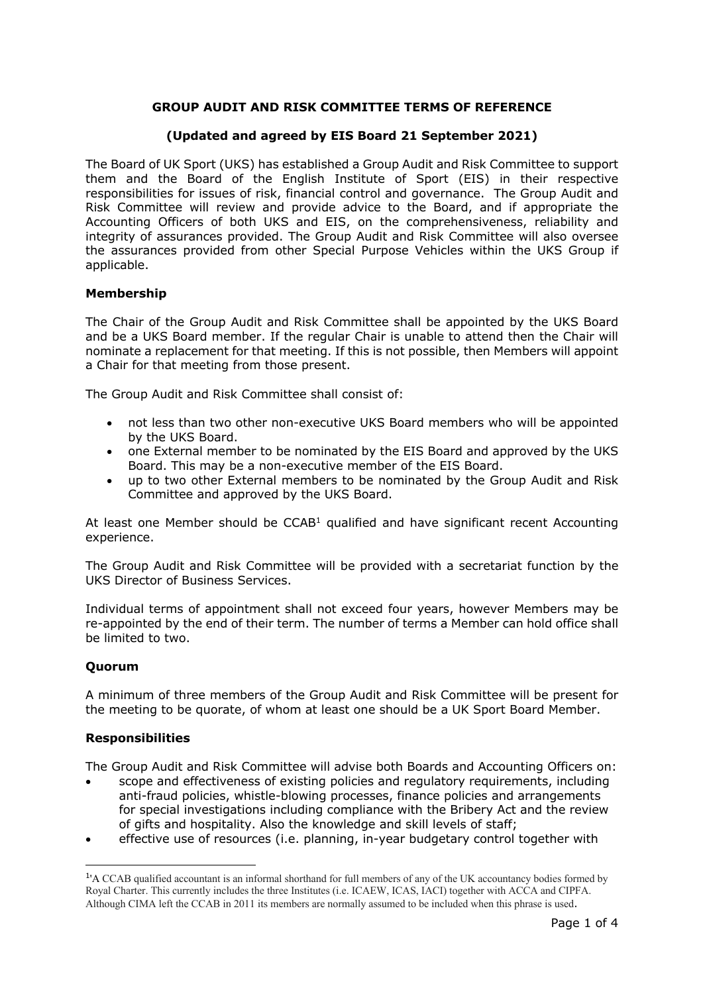# **GROUP AUDIT AND RISK COMMITTEE TERMS OF REFERENCE**

## **(Updated and agreed by EIS Board 21 September 2021)**

The Board of UK Sport (UKS) has established a Group Audit and Risk Committee to support them and the Board of the English Institute of Sport (EIS) in their respective responsibilities for issues of risk, financial control and governance. The Group Audit and Risk Committee will review and provide advice to the Board, and if appropriate the Accounting Officers of both UKS and EIS, on the comprehensiveness, reliability and integrity of assurances provided. The Group Audit and Risk Committee will also oversee the assurances provided from other Special Purpose Vehicles within the UKS Group if applicable.

## **Membership**

The Chair of the Group Audit and Risk Committee shall be appointed by the UKS Board and be a UKS Board member. If the regular Chair is unable to attend then the Chair will nominate a replacement for that meeting. If this is not possible, then Members will appoint a Chair for that meeting from those present.

The Group Audit and Risk Committee shall consist of:

- not less than two other non-executive UKS Board members who will be appointed by the UKS Board.
- one External member to be nominated by the EIS Board and approved by the UKS Board. This may be a non-executive member of the EIS Board.
- up to two other External members to be nominated by the Group Audit and Risk Committee and approved by the UKS Board.

At least one Member should be  $CCAB<sup>1</sup>$  qualified and have significant recent Accounting experience.

The Group Audit and Risk Committee will be provided with a secretariat function by the UKS Director of Business Services.

Individual terms of appointment shall not exceed four years, however Members may be re-appointed by the end of their term. The number of terms a Member can hold office shall be limited to two.

## **Quorum**

A minimum of three members of the Group Audit and Risk Committee will be present for the meeting to be quorate, of whom at least one should be a UK Sport Board Member.

## **Responsibilities**

The Group Audit and Risk Committee will advise both Boards and Accounting Officers on:

- scope and effectiveness of existing policies and regulatory requirements, including anti-fraud policies, whistle-blowing processes, finance policies and arrangements for special investigations including compliance with the Bribery Act and the review of gifts and hospitality. Also the knowledge and skill levels of staff;
- effective use of resources (i.e. planning, in-year budgetary control together with

<sup>1</sup>'A CCAB qualified accountant is an informal shorthand for full members of any of the UK accountancy bodies formed by Royal Charter. This currently includes the three Institutes (i.e. ICAEW, ICAS, IACI) together with ACCA and CIPFA. Although CIMA left the CCAB in 2011 its members are normally assumed to be included when this phrase is used.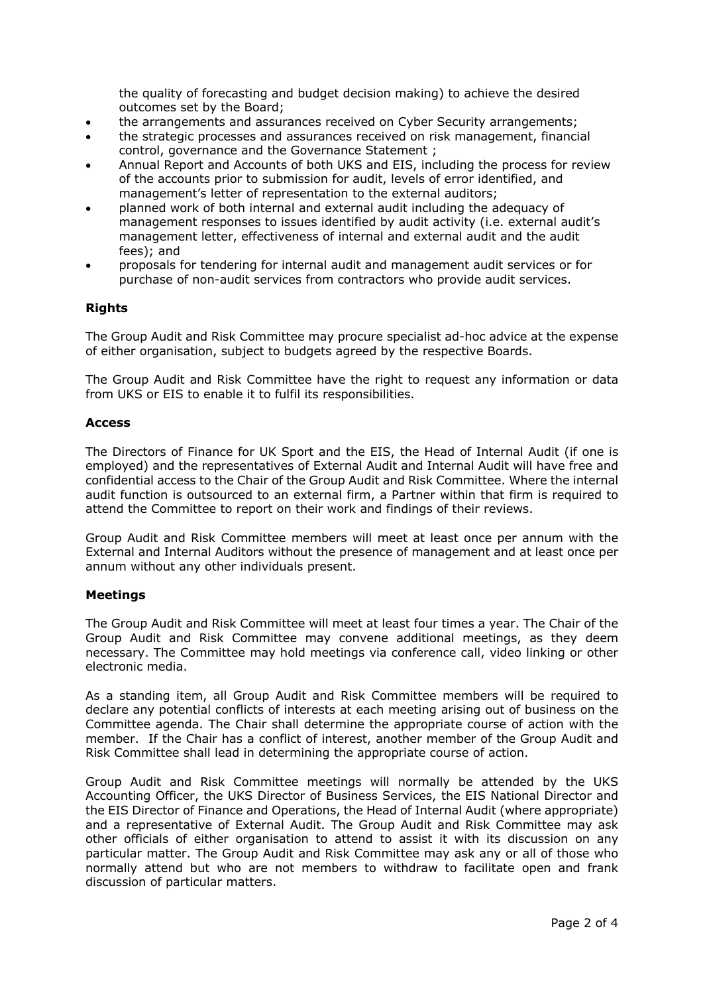the quality of forecasting and budget decision making) to achieve the desired outcomes set by the Board;

- the arrangements and assurances received on Cyber Security arrangements;
- the strategic processes and assurances received on risk management, financial control, governance and the Governance Statement ;
- Annual Report and Accounts of both UKS and EIS, including the process for review of the accounts prior to submission for audit, levels of error identified, and management's letter of representation to the external auditors;
- planned work of both internal and external audit including the adequacy of management responses to issues identified by audit activity (i.e. external audit's management letter, effectiveness of internal and external audit and the audit fees); and
- proposals for tendering for internal audit and management audit services or for purchase of non-audit services from contractors who provide audit services.

## **Rights**

The Group Audit and Risk Committee may procure specialist ad-hoc advice at the expense of either organisation, subject to budgets agreed by the respective Boards.

The Group Audit and Risk Committee have the right to request any information or data from UKS or EIS to enable it to fulfil its responsibilities.

#### **Access**

The Directors of Finance for UK Sport and the EIS, the Head of Internal Audit (if one is employed) and the representatives of External Audit and Internal Audit will have free and confidential access to the Chair of the Group Audit and Risk Committee. Where the internal audit function is outsourced to an external firm, a Partner within that firm is required to attend the Committee to report on their work and findings of their reviews.

Group Audit and Risk Committee members will meet at least once per annum with the External and Internal Auditors without the presence of management and at least once per annum without any other individuals present.

#### **Meetings**

The Group Audit and Risk Committee will meet at least four times a year. The Chair of the Group Audit and Risk Committee may convene additional meetings, as they deem necessary. The Committee may hold meetings via conference call, video linking or other electronic media.

As a standing item, all Group Audit and Risk Committee members will be required to declare any potential conflicts of interests at each meeting arising out of business on the Committee agenda. The Chair shall determine the appropriate course of action with the member. If the Chair has a conflict of interest, another member of the Group Audit and Risk Committee shall lead in determining the appropriate course of action.

Group Audit and Risk Committee meetings will normally be attended by the UKS Accounting Officer, the UKS Director of Business Services, the EIS National Director and the EIS Director of Finance and Operations, the Head of Internal Audit (where appropriate) and a representative of External Audit. The Group Audit and Risk Committee may ask other officials of either organisation to attend to assist it with its discussion on any particular matter. The Group Audit and Risk Committee may ask any or all of those who normally attend but who are not members to withdraw to facilitate open and frank discussion of particular matters.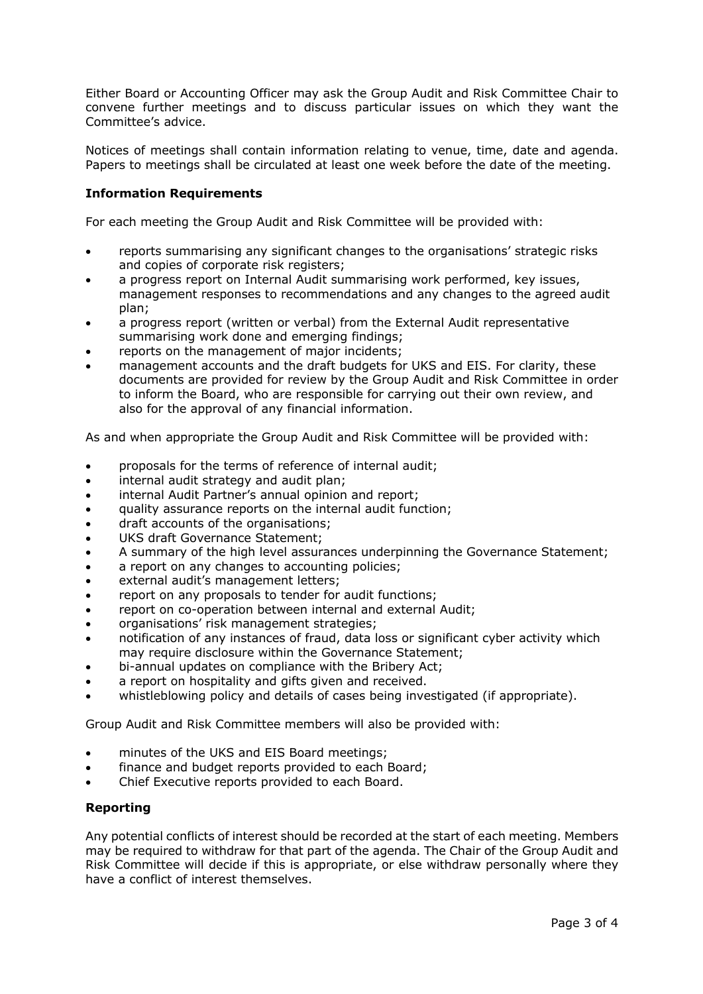Either Board or Accounting Officer may ask the Group Audit and Risk Committee Chair to convene further meetings and to discuss particular issues on which they want the Committee's advice.

Notices of meetings shall contain information relating to venue, time, date and agenda. Papers to meetings shall be circulated at least one week before the date of the meeting.

## **Information Requirements**

For each meeting the Group Audit and Risk Committee will be provided with:

- reports summarising any significant changes to the organisations' strategic risks and copies of corporate risk registers;
- a progress report on Internal Audit summarising work performed, key issues, management responses to recommendations and any changes to the agreed audit plan;
- a progress report (written or verbal) from the External Audit representative summarising work done and emerging findings;
- reports on the management of major incidents;
- management accounts and the draft budgets for UKS and EIS. For clarity, these documents are provided for review by the Group Audit and Risk Committee in order to inform the Board, who are responsible for carrying out their own review, and also for the approval of any financial information.

As and when appropriate the Group Audit and Risk Committee will be provided with:

- proposals for the terms of reference of internal audit;
- internal audit strategy and audit plan;
- internal Audit Partner's annual opinion and report;
- quality assurance reports on the internal audit function;
- draft accounts of the organisations;
- UKS draft Governance Statement:
- A summary of the high level assurances underpinning the Governance Statement;
- a report on any changes to accounting policies;
- external audit's management letters;
- report on any proposals to tender for audit functions;
- report on co-operation between internal and external Audit;
- organisations' risk management strategies;
- notification of any instances of fraud, data loss or significant cyber activity which may require disclosure within the Governance Statement;
- bi-annual updates on compliance with the Bribery Act;
- a report on hospitality and gifts given and received.
- whistleblowing policy and details of cases being investigated (if appropriate).

Group Audit and Risk Committee members will also be provided with:

- minutes of the UKS and EIS Board meetings;
- finance and budget reports provided to each Board;
- Chief Executive reports provided to each Board.

#### **Reporting**

Any potential conflicts of interest should be recorded at the start of each meeting. Members may be required to withdraw for that part of the agenda. The Chair of the Group Audit and Risk Committee will decide if this is appropriate, or else withdraw personally where they have a conflict of interest themselves.